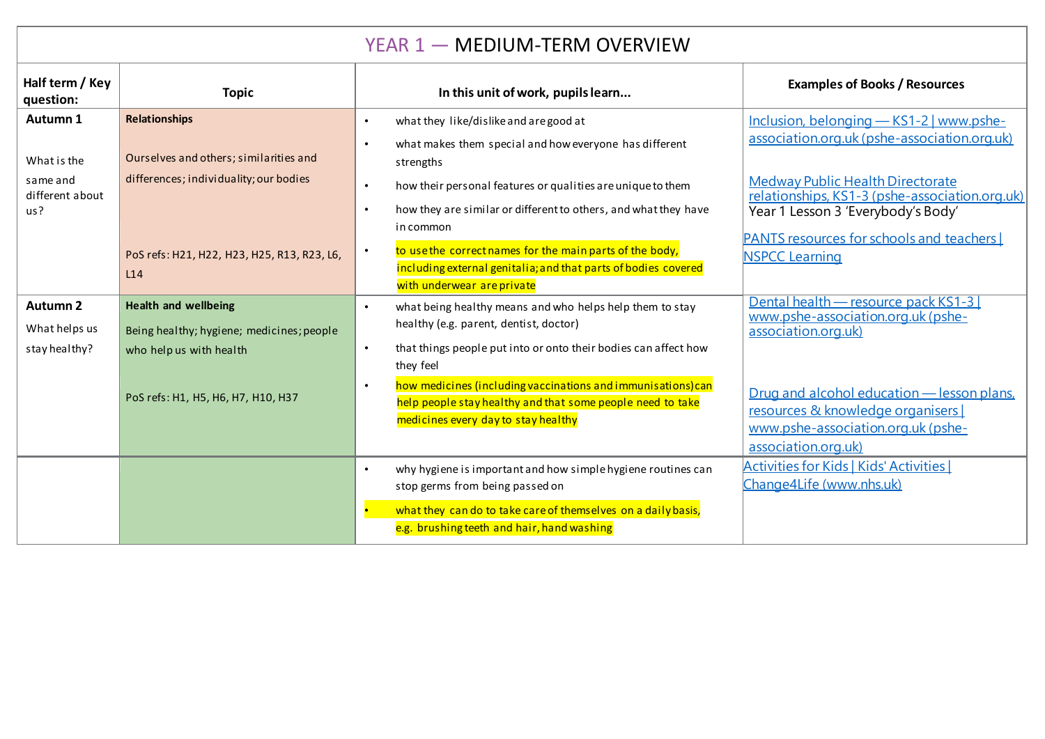## YEAR 1 - MEDIUM-TERM OVERVIEW

| Half term / Key<br>question:     | <b>Topic</b>                                                                     | In this unit of work, pupils learn                                                                                                                                             | <b>Examples of Books / Resources</b>                                                                                                          |
|----------------------------------|----------------------------------------------------------------------------------|--------------------------------------------------------------------------------------------------------------------------------------------------------------------------------|-----------------------------------------------------------------------------------------------------------------------------------------------|
| Autumn 1                         | <b>Relationships</b>                                                             | what they like/dislike and are good at<br>$\bullet$                                                                                                                            | Inclusion, belonging - KS1-2   www.pshe-                                                                                                      |
| What is the<br>same and          | Ourselves and others; similarities and<br>differences; individuality; our bodies | what makes them special and how everyone has different<br>$\bullet$<br>strengths<br>how their personal features or qualities are unique to them<br>$\bullet$                   | association.org.uk (pshe-association.org.uk)<br>Medway Public Health Directorate                                                              |
| different about<br>us?           |                                                                                  | how they are similar or different to others, and what they have<br>$\bullet$<br>in common                                                                                      | relationships, KS1-3 (pshe-association.org.uk)<br>Year 1 Lesson 3 'Everybody's Body'                                                          |
|                                  | PoS refs: H21, H22, H23, H25, R13, R23, L6,<br>L14                               | to use the correct names for the main parts of the body,<br>$\bullet$<br>including external genitalia; and that parts of bodies covered<br>with underwear are private          | <b>PANTS resources for schools and teachers</b><br><b>NSPCC Learning</b>                                                                      |
| <b>Autumn 2</b><br>What helps us | <b>Health and wellbeing</b><br>Being healthy; hygiene; medicines; people         | what being healthy means and who helps help them to stay<br>$\bullet$<br>healthy (e.g. parent, dentist, doctor)                                                                | Dental health - resource pack KS1-3<br>www.pshe-association.org.uk (pshe-<br>association.org.uk)                                              |
| stay healthy?                    | who help us with health                                                          | that things people put into or onto their bodies can affect how<br>$\bullet$<br>they feel                                                                                      |                                                                                                                                               |
|                                  | PoS refs: H1, H5, H6, H7, H10, H37                                               | how medicines (including vaccinations and immunisations) can<br>$\bullet$<br>help people stay healthy and that some people need to take<br>medicines every day to stay healthy | Drug and alcohol education - lesson plans,<br>resources & knowledge organisers [<br>www.pshe-association.org.uk (pshe-<br>association.org.uk) |
|                                  |                                                                                  | why hygiene is important and how simple hygiene routines can<br>$\bullet$<br>stop germs from being passed on                                                                   | <b>Activities for Kids   Kids' Activities  </b><br>Change4Life (www.nhs.uk)                                                                   |
|                                  |                                                                                  | what they can do to take care of themselves on a daily basis,<br>e.g. brushing teeth and hair, hand washing                                                                    |                                                                                                                                               |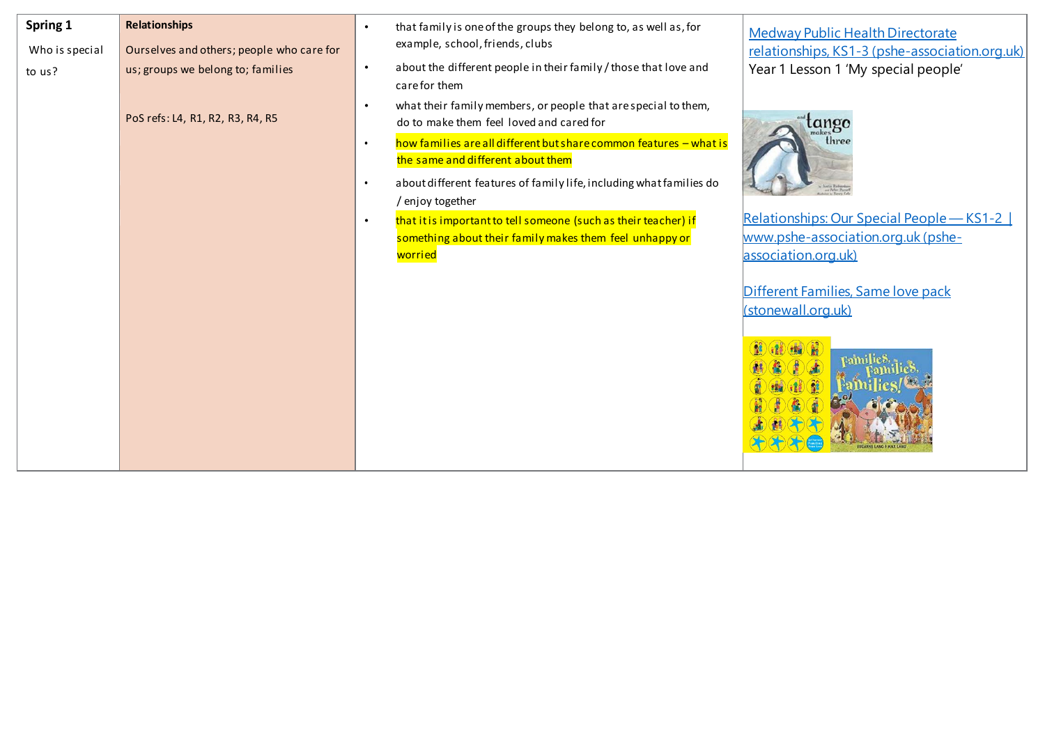| Spring 1       | <b>Relationships</b>                      | that family is one of the groups they belong to, as well as, for<br>$\bullet$                                           | <b>Medway Public Health Directorate</b>        |
|----------------|-------------------------------------------|-------------------------------------------------------------------------------------------------------------------------|------------------------------------------------|
| Who is special | Ourselves and others; people who care for | example, school, friends, clubs                                                                                         | relationships, KS1-3 (pshe-association.org.uk) |
| to us?         | us; groups we belong to; families         | about the different people in their family / those that love and<br>$\bullet$<br>care for them                          | Year 1 Lesson 1 'My special people'            |
|                | PoS refs: L4, R1, R2, R3, R4, R5          | what their family members, or people that are special to them,<br>$\bullet$<br>do to make them feel loved and cared for | tango                                          |
|                |                                           | how families are all different but share common features - what is<br>$\bullet$<br>the same and different about them    | three                                          |
|                |                                           | about different features of family life, including what families do<br>$\bullet$<br>/ enjoy together                    |                                                |
|                |                                           | that it is important to tell someone (such as their teacher) if<br>$\bullet$                                            | Relationships: Our Special People - KS1-2      |
|                |                                           | something about their family makes them feel unhappy or                                                                 | www.pshe-association.org.uk (pshe-             |
|                |                                           | worried                                                                                                                 | association.org.uk)                            |
|                |                                           |                                                                                                                         |                                                |
|                |                                           |                                                                                                                         | Different Families, Same love pack             |
|                |                                           |                                                                                                                         | (stonewall.org.uk)                             |
|                |                                           |                                                                                                                         |                                                |